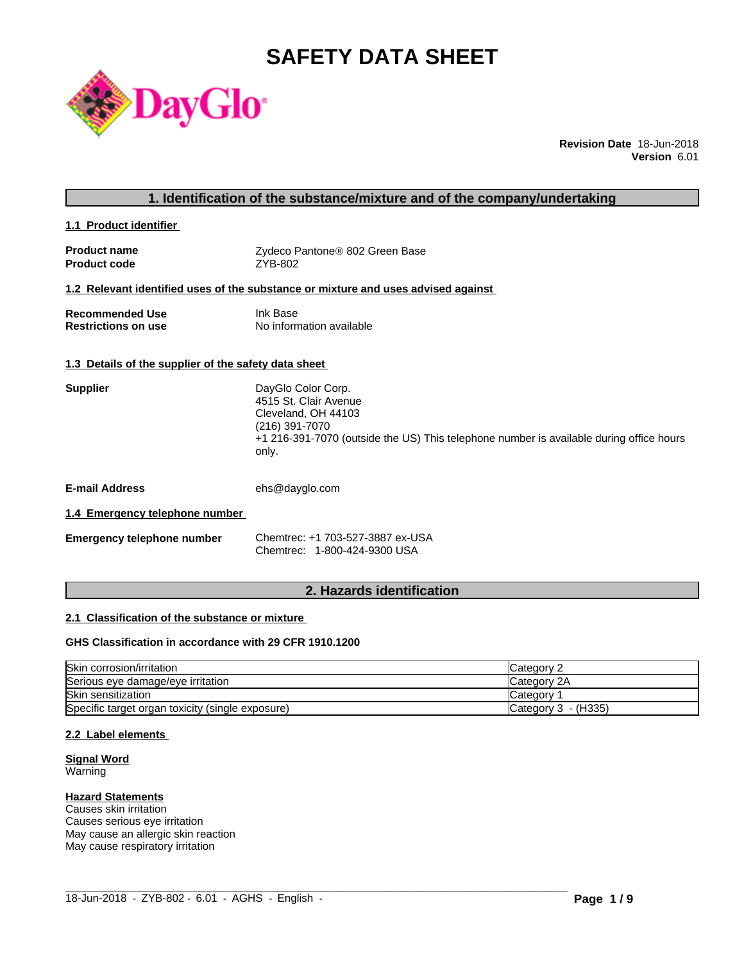# **SAFETY DATA SHEET**



**Revision Date** 18-Jun-2018 **Version** 6.01

### **1. Identification of the substance/mixture and of the company/undertaking**

**1.1 Product identifier** 

| <b>Product name</b> | Zydeco Pantone® 802 Green Base |
|---------------------|--------------------------------|
| <b>Product code</b> | ZYB-802                        |

#### **1.2 Relevant identified uses of the substance or mixture and uses advised against**

| <b>Recommended Use</b>     | Ink Base                 |
|----------------------------|--------------------------|
| <b>Restrictions on use</b> | No information available |

#### **1.3 Details of the supplier of the safety data sheet**

| <b>Supplier</b> | DayGlo Color Corp.<br>4515 St. Clair Avenue<br>Cleveland, OH 44103<br>(216) 391-7070<br>+1 216-391-7070 (outside the US) This telephone number is available during office hours<br>only. |
|-----------------|------------------------------------------------------------------------------------------------------------------------------------------------------------------------------------------|
|                 |                                                                                                                                                                                          |

**E-mail Address** ehs@dayglo.com

#### **1.4 Emergency telephone number**

| <b>Emergency telephone number</b> | Chemtrec: +1 703-527-3887 ex-USA |
|-----------------------------------|----------------------------------|
|                                   | Chemtrec: 1-800-424-9300 USA     |

# **2. Hazards identification**

#### **2.1 Classification of the substance or mixture**

#### **GHS Classification in accordance with 29 CFR 1910.1200**

| Skin corrosion/irritation                        | Category 2            |
|--------------------------------------------------|-----------------------|
| Serious eye damage/eye irritation                | Category 2A           |
| <b>Skin sensitization</b>                        | Category              |
| Specific target organ toxicity (single exposure) | Category $3 - (H335)$ |

 $\_$  ,  $\_$  ,  $\_$  ,  $\_$  ,  $\_$  ,  $\_$  ,  $\_$  ,  $\_$  ,  $\_$  ,  $\_$  ,  $\_$  ,  $\_$  ,  $\_$  ,  $\_$  ,  $\_$  ,  $\_$  ,  $\_$  ,  $\_$  ,  $\_$  ,  $\_$  ,  $\_$  ,  $\_$  ,  $\_$  ,  $\_$  ,  $\_$  ,  $\_$  ,  $\_$  ,  $\_$  ,  $\_$  ,  $\_$  ,  $\_$  ,  $\_$  ,  $\_$  ,  $\_$  ,  $\_$  ,  $\_$  ,  $\_$  ,

#### **2.2 Label elements**

#### **Signal Word** Warning

# **Hazard Statements**

Causes skin irritation Causes serious eye irritation May cause an allergic skin reaction May cause respiratory irritation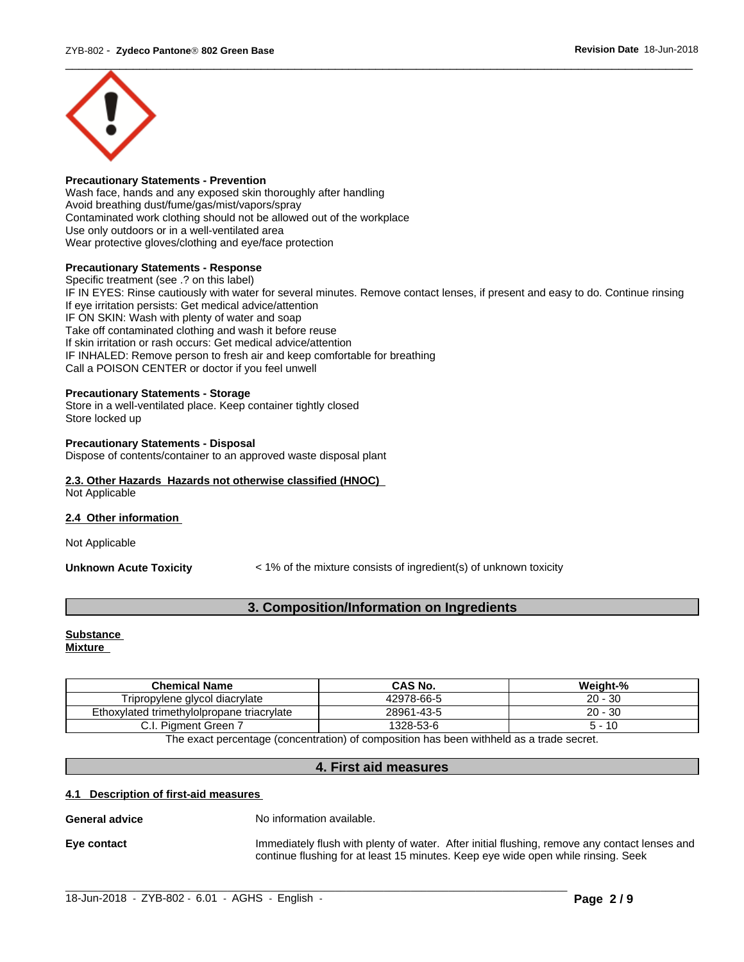

#### **Precautionary Statements - Prevention**

Wash face, hands and any exposed skin thoroughly after handling Avoid breathing dust/fume/gas/mist/vapors/spray Contaminated work clothing should not be allowed out of the workplace Use only outdoors or in a well-ventilated area Wear protective gloves/clothing and eye/face protection

#### **Precautionary Statements - Response**

Specific treatment (see .? on this label) IF IN EYES: Rinse cautiously with water for several minutes. Remove contact lenses, if present and easy to do. Continue rinsing If eye irritation persists: Get medical advice/attention IF ON SKIN: Wash with plenty of water and soap Take off contaminated clothing and wash it before reuse If skin irritation or rash occurs: Get medical advice/attention IF INHALED: Remove person to fresh air and keep comfortable for breathing Call a POISON CENTER or doctor if you feel unwell

#### **Precautionary Statements - Storage**

Store in a well-ventilated place. Keep container tightly closed Store locked up

#### **Precautionary Statements - Disposal**

Dispose of contents/container to an approved waste disposal plant

#### **2.3. Other Hazards Hazards not otherwise classified (HNOC)** Not Applicable

#### **2.4 Other information**

Not Applicable

**Unknown Acute Toxicity**  $\leq 1\%$  of the mixture consists of ingredient(s) of unknown toxicity

### **3. Composition/Information on Ingredients**

# **Substance**

**Mixture**

| <b>Chemical Name</b>                                                                    | CAS No.    | Weight-%  |  |  |
|-----------------------------------------------------------------------------------------|------------|-----------|--|--|
| Tripropylene glycol diacrylate                                                          | 42978-66-5 | $20 - 30$ |  |  |
| Ethoxylated trimethylolpropane triacrylate                                              | 28961-43-5 | $20 - 30$ |  |  |
| . Piament Green 7                                                                       | 1328-53-6  | 5 - 10    |  |  |
| The avest perceptage (concentration) of composition has been withhold as a trade coaret |            |           |  |  |

The exact percentage (concentration) of composition has been withheld as a trade secret.

#### **4. First aid measures**

 $\_$  ,  $\_$  ,  $\_$  ,  $\_$  ,  $\_$  ,  $\_$  ,  $\_$  ,  $\_$  ,  $\_$  ,  $\_$  ,  $\_$  ,  $\_$  ,  $\_$  ,  $\_$  ,  $\_$  ,  $\_$  ,  $\_$  ,  $\_$  ,  $\_$  ,  $\_$  ,  $\_$  ,  $\_$  ,  $\_$  ,  $\_$  ,  $\_$  ,  $\_$  ,  $\_$  ,  $\_$  ,  $\_$  ,  $\_$  ,  $\_$  ,  $\_$  ,  $\_$  ,  $\_$  ,  $\_$  ,  $\_$  ,  $\_$  ,

#### **4.1 Description of first-aid measures**

**General advice** No information available.

**Eye contact** Immediately flush with plenty of water. After initial flushing, remove any contact lenses and continue flushing for at least 15 minutes. Keep eye wide open while rinsing. Seek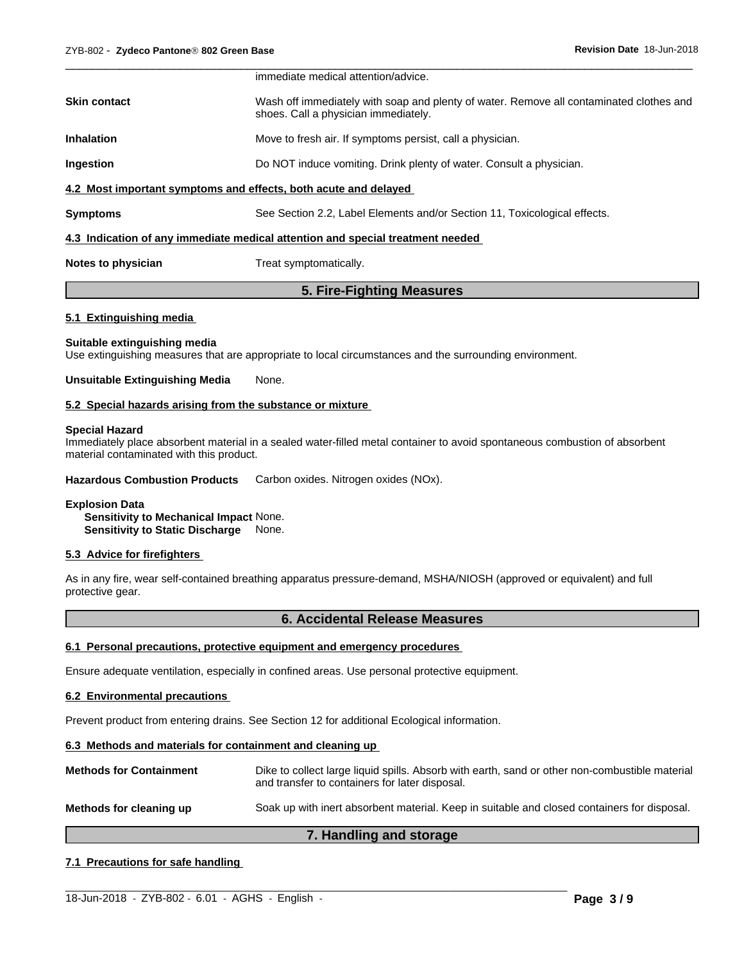|                     | immediate medical attention/advice.                                                                                             |
|---------------------|---------------------------------------------------------------------------------------------------------------------------------|
| <b>Skin contact</b> | Wash off immediately with soap and plenty of water. Remove all contaminated clothes and<br>shoes. Call a physician immediately. |
| <b>Inhalation</b>   | Move to fresh air. If symptoms persist, call a physician.                                                                       |
| Ingestion           | Do NOT induce vomiting. Drink plenty of water. Consult a physician.                                                             |
|                     | 4.2 Most important symptoms and effects, both acute and delayed                                                                 |
| <b>Symptoms</b>     | See Section 2.2, Label Elements and/or Section 11, Toxicological effects.                                                       |
|                     | 4.3 Indication of any immediate medical attention and special treatment needed                                                  |
| Notes to physician  | Treat symptomatically.                                                                                                          |

#### **5. Fire-Fighting Measures**

#### **5.1 Extinguishing media**

#### **Suitable extinguishing media**

Use extinguishing measures that are appropriate to local circumstances and the surrounding environment.

#### **Unsuitable Extinguishing Media** None.

#### **5.2 Special hazards arising from the substance or mixture**

#### **Special Hazard**

Immediately place absorbent material in a sealed water-filled metal container to avoid spontaneous combustion of absorbent material contaminated with this product.

**Hazardous Combustion Products** Carbon oxides. Nitrogen oxides (NOx).

#### **Explosion Data**

**Sensitivity to Mechanical Impact** None. **Sensitivity to Static Discharge** None.

#### **5.3 Advice for firefighters**

As in any fire, wear self-contained breathing apparatus pressure-demand, MSHA/NIOSH (approved or equivalent) and full protective gear.

#### **6. Accidental Release Measures**

#### **6.1 Personal precautions, protective equipment and emergency procedures**

Ensure adequate ventilation, especially in confined areas. Use personal protective equipment.

#### **6.2 Environmental precautions**

Prevent product from entering drains. See Section 12 for additional Ecological information.

#### **6.3 Methods and materials for containment and cleaning up**

**Methods for Containment** Dike to collect large liquid spills. Absorb with earth, sand or other non-combustible material and transfer to containers for later disposal.

**Methods for cleaning up** Soak up with inert absorbent material. Keep in suitable and closed containers for disposal.

#### **7. Handling and storage**

 $\_$  ,  $\_$  ,  $\_$  ,  $\_$  ,  $\_$  ,  $\_$  ,  $\_$  ,  $\_$  ,  $\_$  ,  $\_$  ,  $\_$  ,  $\_$  ,  $\_$  ,  $\_$  ,  $\_$  ,  $\_$  ,  $\_$  ,  $\_$  ,  $\_$  ,  $\_$  ,  $\_$  ,  $\_$  ,  $\_$  ,  $\_$  ,  $\_$  ,  $\_$  ,  $\_$  ,  $\_$  ,  $\_$  ,  $\_$  ,  $\_$  ,  $\_$  ,  $\_$  ,  $\_$  ,  $\_$  ,  $\_$  ,  $\_$  ,

#### **7.1 Precautions for safe handling**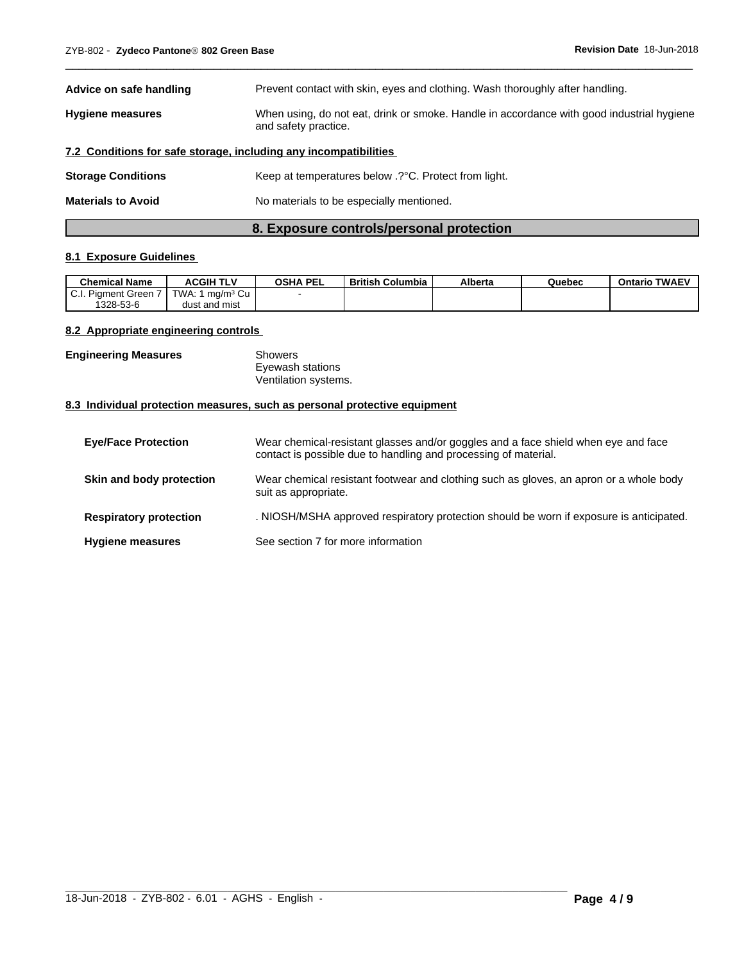| Advice on safe handling                                          | Prevent contact with skin, eyes and clothing. Wash thoroughly after handling.                                     |  |  |
|------------------------------------------------------------------|-------------------------------------------------------------------------------------------------------------------|--|--|
| <b>Hygiene measures</b>                                          | When using, do not eat, drink or smoke. Handle in accordance with good industrial hygiene<br>and safety practice. |  |  |
| 7.2 Conditions for safe storage, including any incompatibilities |                                                                                                                   |  |  |
| <b>Storage Conditions</b>                                        | Keep at temperatures below .? °C. Protect from light.                                                             |  |  |
| <b>Materials to Avoid</b>                                        | No materials to be especially mentioned.                                                                          |  |  |

 $\overline{\phantom{a}}$  ,  $\overline{\phantom{a}}$  ,  $\overline{\phantom{a}}$  ,  $\overline{\phantom{a}}$  ,  $\overline{\phantom{a}}$  ,  $\overline{\phantom{a}}$  ,  $\overline{\phantom{a}}$  ,  $\overline{\phantom{a}}$  ,  $\overline{\phantom{a}}$  ,  $\overline{\phantom{a}}$  ,  $\overline{\phantom{a}}$  ,  $\overline{\phantom{a}}$  ,  $\overline{\phantom{a}}$  ,  $\overline{\phantom{a}}$  ,  $\overline{\phantom{a}}$  ,  $\overline{\phantom{a}}$ 

### **8. Exposure controls/personal protection**

#### **8.1 Exposure Guidelines**

| <b>Chemical Name</b>                  | <b>ACGIH TLV</b>               | <b>OSHA PEL</b> | <b>British Columbia</b> | Alberta | Quebec | <b>TWAEV</b><br>Ontario |
|---------------------------------------|--------------------------------|-----------------|-------------------------|---------|--------|-------------------------|
| <b>Piament Green</b><br><b>v.</b> l., | ma/mª Cu<br>TWA.               |                 |                         |         |        |                         |
| 1328-53-6                             | t and mist<br>dus <sup>.</sup> |                 |                         |         |        |                         |

#### **8.2 Appropriate engineering controls**

| <b>Engineering Measures</b> | Showers              |  |
|-----------------------------|----------------------|--|
|                             | Eyewash stations     |  |
|                             | Ventilation systems. |  |

#### **8.3 Individual protection measures, such as personal protective equipment**

| <b>Eye/Face Protection</b>    | Wear chemical-resistant glasses and/or goggles and a face shield when eye and face<br>contact is possible due to handling and processing of material. |
|-------------------------------|-------------------------------------------------------------------------------------------------------------------------------------------------------|
| Skin and body protection      | Wear chemical resistant footwear and clothing such as gloves, an apron or a whole body<br>suit as appropriate.                                        |
| <b>Respiratory protection</b> | . NIOSH/MSHA approved respiratory protection should be worn if exposure is anticipated.                                                               |
| <b>Hygiene measures</b>       | See section 7 for more information                                                                                                                    |

 $\_$  ,  $\_$  ,  $\_$  ,  $\_$  ,  $\_$  ,  $\_$  ,  $\_$  ,  $\_$  ,  $\_$  ,  $\_$  ,  $\_$  ,  $\_$  ,  $\_$  ,  $\_$  ,  $\_$  ,  $\_$  ,  $\_$  ,  $\_$  ,  $\_$  ,  $\_$  ,  $\_$  ,  $\_$  ,  $\_$  ,  $\_$  ,  $\_$  ,  $\_$  ,  $\_$  ,  $\_$  ,  $\_$  ,  $\_$  ,  $\_$  ,  $\_$  ,  $\_$  ,  $\_$  ,  $\_$  ,  $\_$  ,  $\_$  ,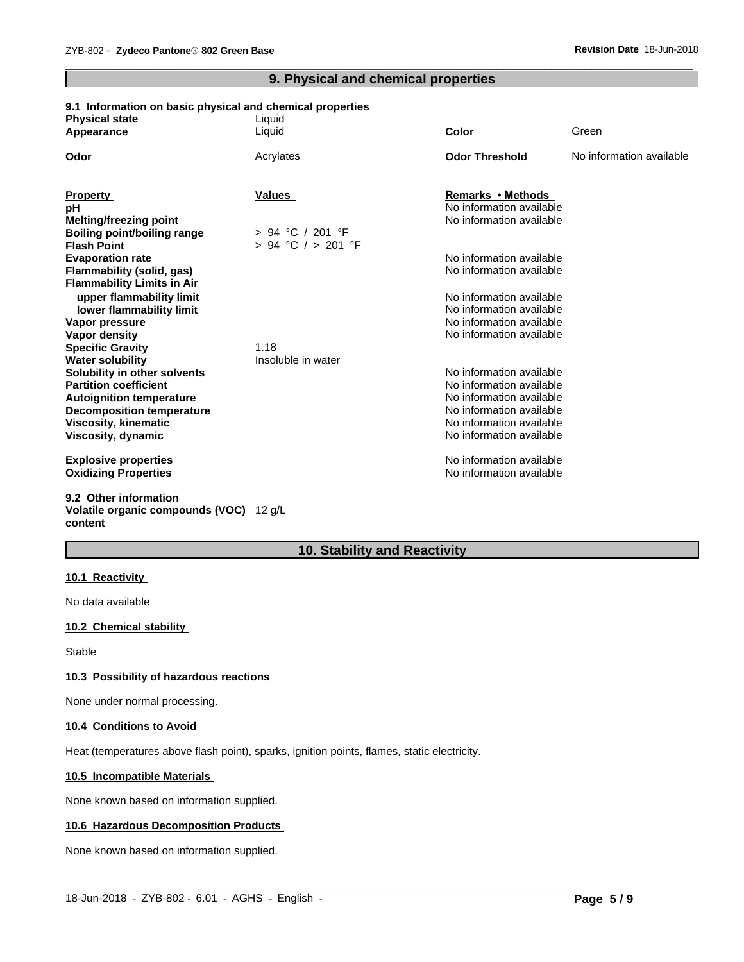# **9. Physical and chemical properties**

 $\overline{\phantom{a}}$  ,  $\overline{\phantom{a}}$  ,  $\overline{\phantom{a}}$  ,  $\overline{\phantom{a}}$  ,  $\overline{\phantom{a}}$  ,  $\overline{\phantom{a}}$  ,  $\overline{\phantom{a}}$  ,  $\overline{\phantom{a}}$  ,  $\overline{\phantom{a}}$  ,  $\overline{\phantom{a}}$  ,  $\overline{\phantom{a}}$  ,  $\overline{\phantom{a}}$  ,  $\overline{\phantom{a}}$  ,  $\overline{\phantom{a}}$  ,  $\overline{\phantom{a}}$  ,  $\overline{\phantom{a}}$ 

#### **9.1 Information on basic physical and chemical properties**

| <b>Physical state</b>              | Liquid                 |                          |                          |
|------------------------------------|------------------------|--------------------------|--------------------------|
| Appearance                         | Liquid                 | <b>Color</b>             | Green                    |
| Odor                               | Acrylates              | <b>Odor Threshold</b>    | No information available |
|                                    |                        |                          |                          |
| <b>Property</b>                    | <b>Values</b>          | Remarks • Methods        |                          |
| pH                                 |                        | No information available |                          |
| <b>Melting/freezing point</b>      |                        | No information available |                          |
| <b>Boiling point/boiling range</b> | $> 94$ °C / 201 °F     |                          |                          |
| <b>Flash Point</b>                 | $> 94$ °C $/ > 201$ °F |                          |                          |
| <b>Evaporation rate</b>            |                        | No information available |                          |
| Flammability (solid, gas)          |                        | No information available |                          |
| <b>Flammability Limits in Air</b>  |                        |                          |                          |
| upper flammability limit           |                        | No information available |                          |
| lower flammability limit           |                        | No information available |                          |
| Vapor pressure                     |                        | No information available |                          |
| <b>Vapor density</b>               |                        | No information available |                          |
| <b>Specific Gravity</b>            | 1.18                   |                          |                          |
| <b>Water solubility</b>            | Insoluble in water     |                          |                          |
| Solubility in other solvents       |                        | No information available |                          |
| <b>Partition coefficient</b>       |                        | No information available |                          |
| <b>Autoignition temperature</b>    |                        | No information available |                          |
| <b>Decomposition temperature</b>   |                        | No information available |                          |
| Viscosity, kinematic               |                        | No information available |                          |
| Viscosity, dynamic                 |                        | No information available |                          |
| <b>Explosive properties</b>        |                        | No information available |                          |
| <b>Oxidizing Properties</b>        |                        | No information available |                          |
| 9.2 Other information              |                        |                          |                          |
|                                    |                        |                          |                          |

#### **Volatile organic compounds (VOC)** 12 g/L **content**

# **10. Stability and Reactivity**

 $\_$  ,  $\_$  ,  $\_$  ,  $\_$  ,  $\_$  ,  $\_$  ,  $\_$  ,  $\_$  ,  $\_$  ,  $\_$  ,  $\_$  ,  $\_$  ,  $\_$  ,  $\_$  ,  $\_$  ,  $\_$  ,  $\_$  ,  $\_$  ,  $\_$  ,  $\_$  ,  $\_$  ,  $\_$  ,  $\_$  ,  $\_$  ,  $\_$  ,  $\_$  ,  $\_$  ,  $\_$  ,  $\_$  ,  $\_$  ,  $\_$  ,  $\_$  ,  $\_$  ,  $\_$  ,  $\_$  ,  $\_$  ,  $\_$  ,

#### **10.1 Reactivity**

No data available

#### **10.2 Chemical stability**

Stable

#### **10.3 Possibility of hazardous reactions**

None under normal processing.

#### **10.4 Conditions to Avoid**

Heat (temperatures above flash point), sparks, ignition points, flames, static electricity.

#### **10.5 Incompatible Materials**

None known based on information supplied.

#### **10.6 Hazardous Decomposition Products**

None known based on information supplied.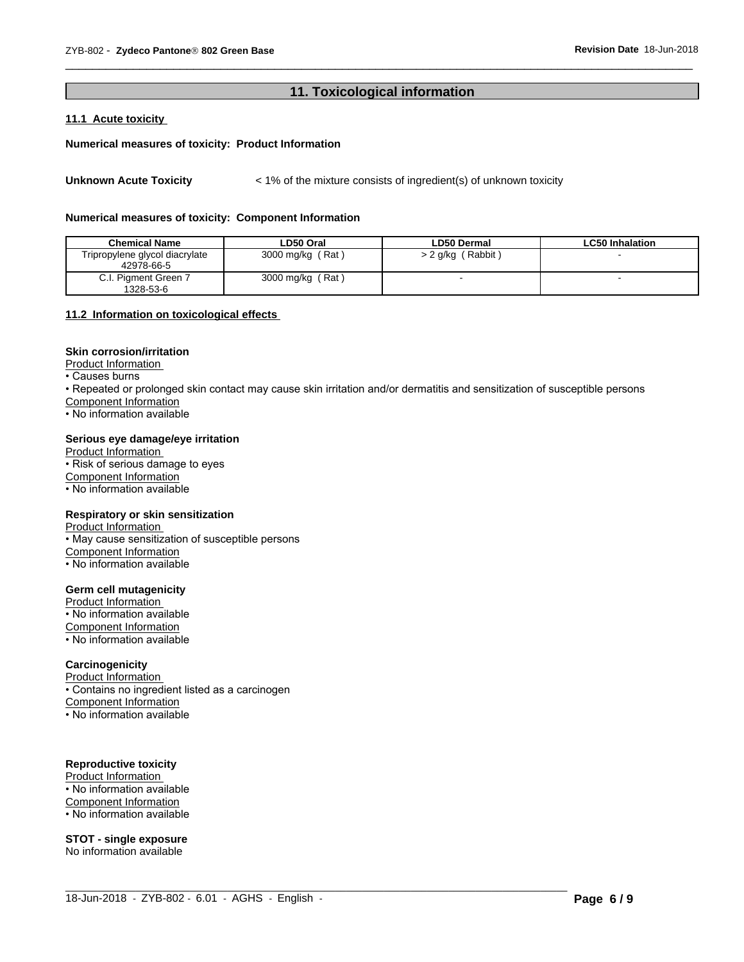#### 11. Toxicological information

#### 11.1 Acute toxicity

#### Numerical measures of toxicity: Product Information

< 1% of the mixture consists of ingredient(s) of unknown toxicity **Unknown Acute Toxicity** 

#### Numerical measures of toxicity: Component Information

| <b>Chemical Name</b>                         | LD50 Oral        | LD50 Dermal         | <b>LC50 Inhalation</b> |
|----------------------------------------------|------------------|---------------------|------------------------|
| Tripropylene glycol diacrylate<br>42978-66-5 | 3000 mg/kg (Rat) | $> 2$ g/kg (Rabbit) |                        |
| C.I. Pigment Green 7<br>1328-53-6            | 3000 mg/kg (Rat) |                     |                        |

#### 11.2 Information on toxicological effects

#### **Skin corrosion/irritation**

Product Information

• Causes burns

• Repeated or prolonged skin contact may cause skin irritation and/or dermatitis and sensitization of susceptible persons

Component Information

• No information available

#### Serious eve damage/eye irritation

Product Information • Risk of serious damage to eyes Component Information

• No information available

#### Respiratory or skin sensitization

Product Information • May cause sensitization of susceptible persons Component Information • No information available

#### **Germ cell mutagenicity**

Product Information • No information available Component Information • No information available

#### Carcinogenicity

Product Information

• Contains no ingredient listed as a carcinogen

**Component Information** 

• No information available

#### **Reproductive toxicity**

Product Information

• No information available **Component Information** 

• No information available

**STOT - single exposure** No information available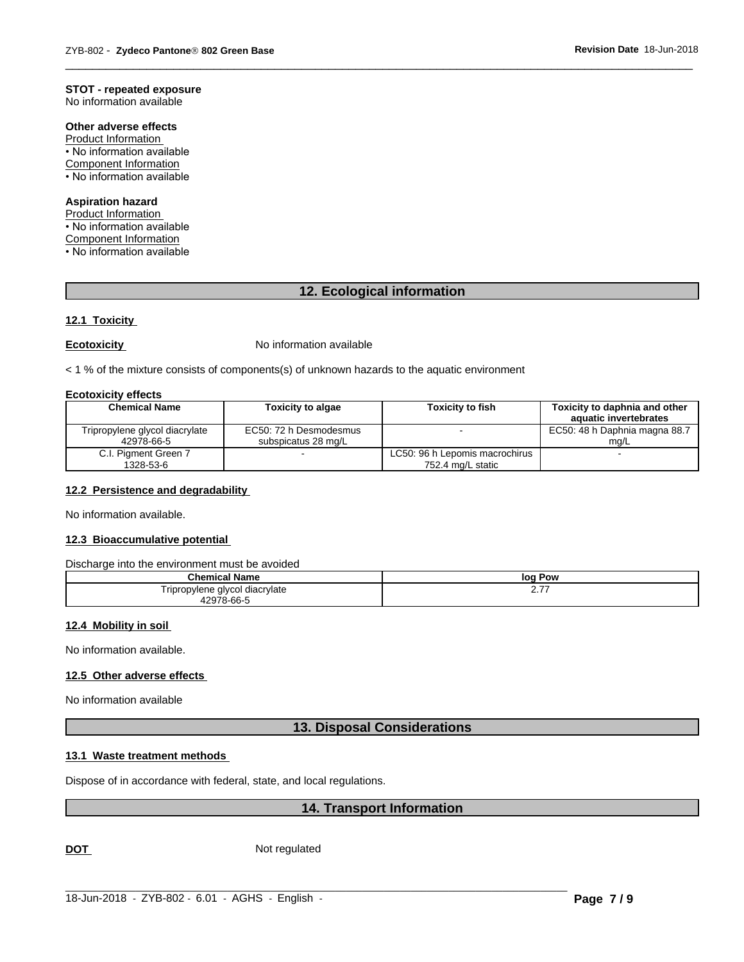#### **STOT - repeated exposure**

No information available

### Other adverse effects

**Product Information** • No information available **Component Information** • No information available

#### **Aspiration hazard**

Product Information

• No information available

**Component Information** 

• No information available

#### 12. Ecological information

#### 12.1 Toxicity

#### **Ecotoxicity**

No information available

< 1 % of the mixture consists of components(s) of unknown hazards to the aquatic environment

#### **Ecotoxicity effects**

| <b>Chemical Name</b>           | <b>Toxicity to algae</b> | <b>Toxicity to fish</b>        | Toxicity to daphnia and other<br>aquatic invertebrates |
|--------------------------------|--------------------------|--------------------------------|--------------------------------------------------------|
| Tripropylene glycol diacrylate | EC50: 72 h Desmodesmus   |                                | EC50: 48 h Daphnia magna 88.7                          |
| 42978-66-5                     | subspicatus 28 mg/L      |                                | ma/L                                                   |
| C.I. Pigment Green 7           |                          | LC50: 96 h Lepomis macrochirus |                                                        |
| 1328-53-6                      |                          | 752.4 mg/L static              |                                                        |

#### 12.2 Persistence and degradability

No information available.

#### 12.3 Bioaccumulative potential

#### Discharge into the environment must be avoided

| Chemical                     | Pow      |
|------------------------------|----------|
| ' Name                       | loq      |
| e glycol diacrylate          | ---      |
| ovlene                       | <u>.</u> |
| riprop                       |          |
| $\sim$ 66- $\Gamma$<br>10070 |          |

#### 12.4 Mobility in soil

No information available.

#### 12.5 Other adverse effects

No information available

#### 13. Disposal Considerations

#### 13.1 Waste treatment methods

Dispose of in accordance with federal, state, and local regulations.

#### 14. Transport Information

**DOT** 

Not regulated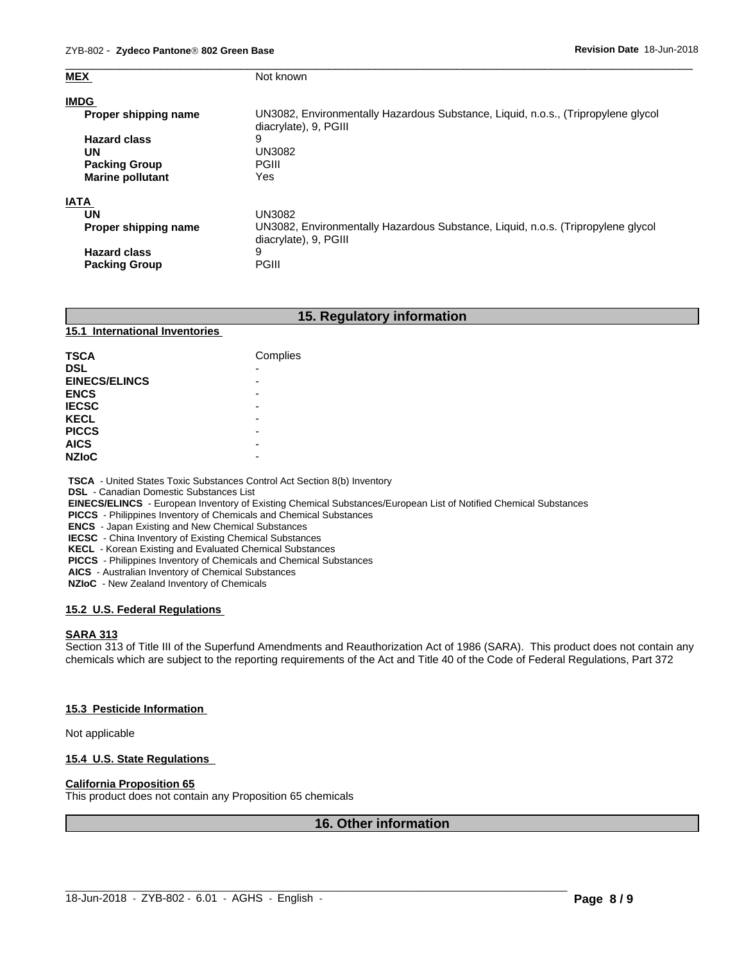| <b>MEX</b>              | Not known                                                                                                  |
|-------------------------|------------------------------------------------------------------------------------------------------------|
| <b>IMDG</b>             |                                                                                                            |
| Proper shipping name    | UN3082, Environmentally Hazardous Substance, Liquid, n.o.s., (Tripropylene glycol<br>diacrylate), 9, PGIII |
| <b>Hazard class</b>     | 9                                                                                                          |
| UN                      | <b>UN3082</b>                                                                                              |
| <b>Packing Group</b>    | <b>PGIII</b>                                                                                               |
| <b>Marine pollutant</b> | Yes                                                                                                        |
| <b>IATA</b>             |                                                                                                            |
| UN                      | UN3082                                                                                                     |
| Proper shipping name    | UN3082, Environmentally Hazardous Substance, Liquid, n.o.s. (Tripropylene glycol                           |
|                         | diacrylate), 9, PGIII                                                                                      |
| <b>Hazard class</b>     | 9                                                                                                          |
| <b>Packing Group</b>    | <b>PGIII</b>                                                                                               |

### **15. Regulatory information**

#### **15.1 International Inventories**

| <b>TSCA</b>          | Complies                 |
|----------------------|--------------------------|
| <b>DSL</b>           | $\overline{\phantom{0}}$ |
| <b>EINECS/ELINCS</b> | -                        |
| <b>ENCS</b>          | -                        |
| <b>IECSC</b>         | -                        |
| <b>KECL</b>          | -                        |
| <b>PICCS</b>         | -                        |
| <b>AICS</b>          | -                        |
| <b>NZIoC</b>         | -                        |

 **TSCA** - United States Toxic Substances Control Act Section 8(b) Inventory

 **DSL** - Canadian Domestic Substances List

 **EINECS/ELINCS** - European Inventory of Existing Chemical Substances/European List of Notified Chemical Substances

 **PICCS** - Philippines Inventory of Chemicals and Chemical Substances

 **ENCS** - Japan Existing and New Chemical Substances

 **IECSC** - China Inventory of Existing Chemical Substances

 **KECL** - Korean Existing and Evaluated Chemical Substances

 **PICCS** - Philippines Inventory of Chemicals and Chemical Substances

 **AICS** - Australian Inventory of Chemical Substances

 **NZIoC** - New Zealand Inventory of Chemicals

#### **15.2 U.S. Federal Regulations**

#### **SARA 313**

Section 313 of Title III of the Superfund Amendments and Reauthorization Act of 1986 (SARA). This product does not contain any chemicals which are subject to the reporting requirements of the Act and Title 40 of the Code of Federal Regulations, Part 372

#### **15.3 Pesticide Information**

Not applicable

#### **15.4 U.S. State Regulations**

#### **California Proposition 65**

This product does not contain any Proposition 65 chemicals

#### **16. Other information**